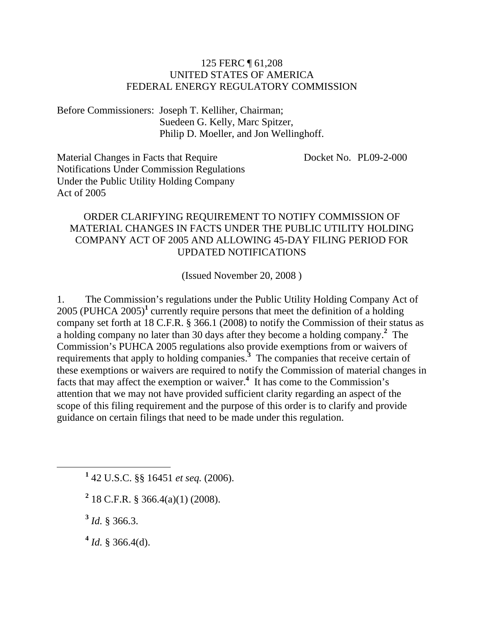## 125 FERC ¶ 61,208 UNITED STATES OF AMERICA FEDERAL ENERGY REGULATORY COMMISSION

Before Commissioners: Joseph T. Kelliher, Chairman; Suedeen G. Kelly, Marc Spitzer, Philip D. Moeller, and Jon Wellinghoff.

Material Changes in Facts that Require Notifications Under Commission Regulations Under the Public Utility Holding Company Act of 2005

Docket No. PL09-2-000

## ORDER CLARIFYING REQUIREMENT TO NOTIFY COMMISSION OF MATERIAL CHANGES IN FACTS UNDER THE PUBLIC UTILITY HOLDING COMPANY ACT OF 2005 AND ALLOWING 45-DAY FILING PERIOD FOR UPDATED NOTIFICATIONS

(Issued November 20, 2008 )

1. The Commission's regulations under the Public Utility Holding Company Act of 2005 (PUHCA 2005)**<sup>1</sup>** currently require persons that meet the definition of a holding company set forth at 18 C.F.R. § 366.1 (2008) to notify the Commission of their status as a holding company no later than 30 days after they become a holding company.**<sup>2</sup>** The Commission's PUHCA 2005 regulations also provide exemptions from or waivers of requirements that apply to holding companies.**<sup>3</sup>** The companies that receive certain of these exemptions or waivers are required to notify the Commission of material changes in facts that may affect the exemption or waiver.<sup>4</sup> It has come to the Commission's attention that we may not have provided sufficient clarity regarding an aspect of the scope of this filing requirement and the purpose of this order is to clarify and provide guidance on certain filings that need to be made under this regulation.

<u>1</u> 42 U.S.C. §§ 16451 *et seq.* (2006).

**2** 18 C.F.R. § 366.4(a)(1) (2008).

**<sup>3</sup>** *Id.* § 366.3.

**<sup>4</sup>** *Id.* § 366.4(d).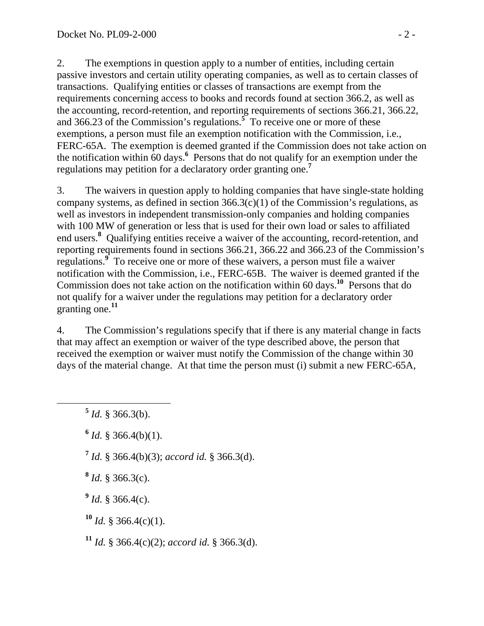2. The exemptions in question apply to a number of entities, including certain passive investors and certain utility operating companies, as well as to certain classes of transactions. Qualifying entities or classes of transactions are exempt from the requirements concerning access to books and records found at section 366.2, as well as the accounting, record-retention, and reporting requirements of sections 366.21, 366.22, and 366.23 of the Commission's regulations.**<sup>5</sup>** To receive one or more of these exemptions, a person must file an exemption notification with the Commission, i.e., FERC-65A. The exemption is deemed granted if the Commission does not take action on the notification within 60 days.**<sup>6</sup>** Persons that do not qualify for an exemption under the regulations may petition for a declaratory order granting one.**<sup>7</sup>**

3. The waivers in question apply to holding companies that have single-state holding company systems, as defined in section  $366.3(c)(1)$  of the Commission's regulations, as well as investors in independent transmission-only companies and holding companies with 100 MW of generation or less that is used for their own load or sales to affiliated end users.**<sup>8</sup>** Qualifying entities receive a waiver of the accounting, record-retention, and reporting requirements found in sections 366.21, 366.22 and 366.23 of the Commission's regulations.**<sup>9</sup>** To receive one or more of these waivers, a person must file a waiver notification with the Commission, i.e., FERC-65B. The waiver is deemed granted if the Commission does not take action on the notification within 60 days.**<sup>10</sup>** Persons that do not qualify for a waiver under the regulations may petition for a declaratory order granting one.**<sup>11</sup>**

4. The Commission's regulations specify that if there is any material change in facts that may affect an exemption or waiver of the type described above, the person that received the exemption or waiver must notify the Commission of the change within 30 days of the material change. At that time the person must (i) submit a new FERC-65A,

 $5$  *Id.* § 366.3(b).

 $^{6}$  *Id.* § 366.4(b)(1).

- **<sup>7</sup>** *Id.* § 366.4(b)(3); *accord id.* § 366.3(d).
- **<sup>8</sup>** *Id.* § 366.3(c).
- **<sup>9</sup>** *Id.* § 366.4(c).
- $10$  *Id.* § 366.4(c)(1).
- **<sup>11</sup>** *Id.* § 366.4(c)(2); *accord id.* § 366.3(d).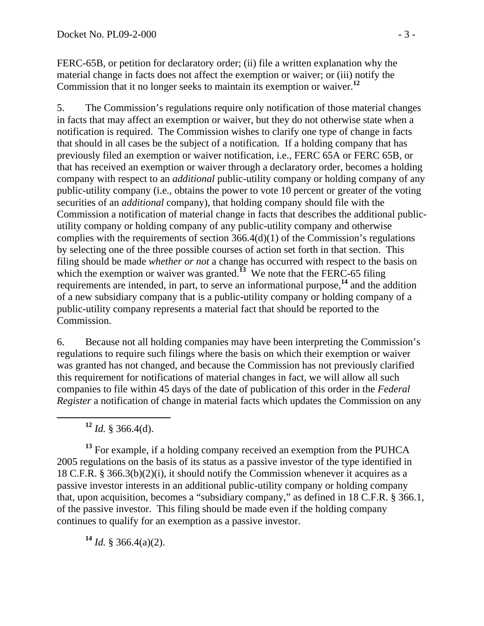FERC-65B, or petition for declaratory order; (ii) file a written explanation why the material change in facts does not affect the exemption or waiver; or (iii) notify the Commission that it no longer seeks to maintain its exemption or waiver.**<sup>12</sup>**

5. The Commission's regulations require only notification of those material changes in facts that may affect an exemption or waiver, but they do not otherwise state when a notification is required. The Commission wishes to clarify one type of change in facts that should in all cases be the subject of a notification. If a holding company that has previously filed an exemption or waiver notification, i.e., FERC 65A or FERC 65B, or that has received an exemption or waiver through a declaratory order, becomes a holding company with respect to an *additional* public-utility company or holding company of any public-utility company (i.e., obtains the power to vote 10 percent or greater of the voting securities of an *additional* company), that holding company should file with the Commission a notification of material change in facts that describes the additional publicutility company or holding company of any public-utility company and otherwise complies with the requirements of section  $366.4(d)(1)$  of the Commission's regulations by selecting one of the three possible courses of action set forth in that section. This filing should be made *whether or not* a change has occurred with respect to the basis on which the exemption or waiver was granted.<sup>13</sup> We note that the FERC-65 filing requirements are intended, in part, to serve an informational purpose,**<sup>14</sup>** and the addition of a new subsidiary company that is a public-utility company or holding company of a public-utility company represents a material fact that should be reported to the Commission.

6. Because not all holding companies may have been interpreting the Commission's regulations to require such filings where the basis on which their exemption or waiver was granted has not changed, and because the Commission has not previously clarified this requirement for notifications of material changes in fact, we will allow all such companies to file within 45 days of the date of publication of this order in the *Federal Register* a notification of change in material facts which updates the Commission on any

**<sup>12</sup>** *Id.* § 366.4(d).

<sup>13</sup> For example, if a holding company received an exemption from the PUHCA 2005 regulations on the basis of its status as a passive investor of the type identified in 18 C.F.R. § 366.3(b)(2)(i), it should notify the Commission whenever it acquires as a passive investor interests in an additional public-utility company or holding company that, upon acquisition, becomes a "subsidiary company," as defined in 18 C.F.R. § 366.1, of the passive investor. This filing should be made even if the holding company continues to qualify for an exemption as a passive investor.

 $14$  *Id.* § 366.4(a)(2).